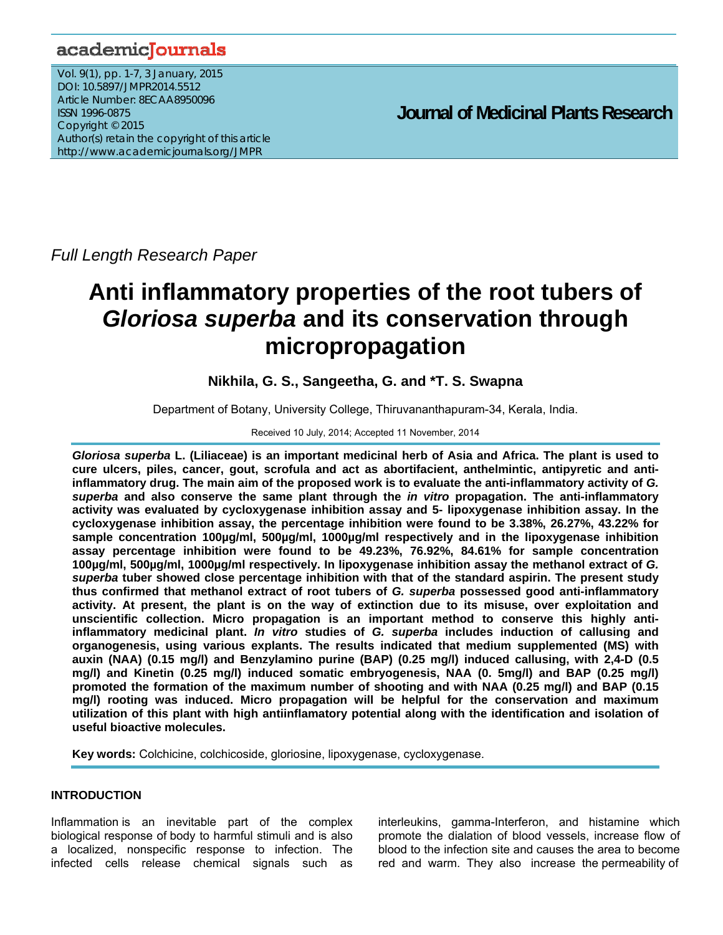## academicJournals

Vol. 9(1), pp. 1-7, 3 January, 2015 DOI: 10.5897/JMPR2014.5512 Article Number: 8ECAA8950096 ISSN 1996-0875 Copyright © 2015 Author(s) retain the copyright of this article http://www.academicjournals.org/JMPR

 **Journal of Medicinal Plants Research**

*Full Length Research Paper*

# **Anti inflammatory properties of the root tubers of**  *Gloriosa superba* **and its conservation through micropropagation**

## **Nikhila, G. S., Sangeetha, G. and \*T. S. Swapna**

Department of Botany, University College, Thiruvananthapuram-34, Kerala, India.

Received 10 July, 2014; Accepted 11 November, 2014

*Gloriosa superba* **L. (Liliaceae) is an important medicinal herb of Asia and Africa. The plant is used to cure ulcers, piles, cancer, gout, scrofula and act as abortifacient, anthelmintic, antipyretic and antiinflammatory drug. The main aim of the proposed work is to evaluate the anti-inflammatory activity of** *G. superba* **and also conserve the same plant through the** *in vitro* **propagation. The anti-inflammatory activity was evaluated by cycloxygenase inhibition assay and 5- lipoxygenase inhibition assay. In the cycloxygenase inhibition assay, the percentage inhibition were found to be 3.38%, 26.27%, 43.22% for sample concentration 100µg/ml, 500µg/ml, 1000µg/ml respectively and in the lipoxygenase inhibition assay percentage inhibition were found to be 49.23%, 76.92%, 84.61% for sample concentration 100µg/ml, 500µg/ml, 1000µg/ml respectively. In lipoxygenase inhibition assay the methanol extract of** *G. superba* **tuber showed close percentage inhibition with that of the standard aspirin. The present study thus confirmed that methanol extract of root tubers of** *G. superba* **possessed good anti-inflammatory activity. At present, the plant is on the way of extinction due to its misuse, over exploitation and unscientific collection. Micro propagation is an important method to conserve this highly antiinflammatory medicinal plant.** *In vitro* **studies of** *G. superba* **includes induction of callusing and organogenesis, using various explants. The results indicated that medium supplemented (MS) with auxin (NAA) (0.15 mg/l) and Benzylamino purine (BAP) (0.25 mg/l) induced callusing, with 2,4-D (0.5 mg/l) and Kinetin (0.25 mg/l) induced somatic embryogenesis, NAA (0. 5mg/l) and BAP (0.25 mg/l) promoted the formation of the maximum number of shooting and with NAA (0.25 mg/l) and BAP (0.15 mg/l) rooting was induced. Micro propagation will be helpful for the conservation and maximum utilization of this plant with high antiinflamatory potential along with the identification and isolation of useful bioactive molecules.** 

**Key words:** Colchicine, colchicoside, gloriosine, lipoxygenase, cycloxygenase.

## **INTRODUCTION**

Inflammation is an inevitable part of the complex biological response of body to harmful stimuli and is also a localized, nonspecific response to infection. The infected cells release chemical signals such as

interleukins, gamma-Interferon, and histamine which promote the dialation of blood vessels, increase flow of blood to the infection site and causes the area to become red and warm. They also increase the permeability of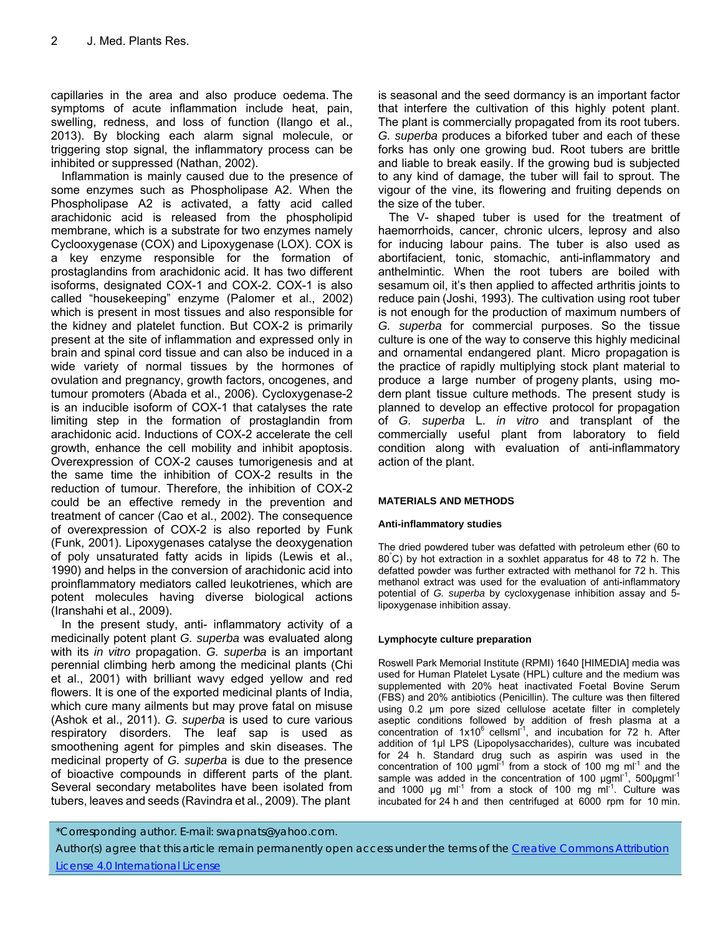capillaries in the area and also produce oedema. The symptoms of acute inflammation include heat, pain, swelling, redness, and loss of function (Ilango et al., 2013). By blocking each alarm signal molecule, or triggering stop signal, the inflammatory process can be inhibited or suppressed (Nathan, 2002).

Inflammation is mainly caused due to the presence of some enzymes such as Phospholipase A2. When the Phospholipase A2 is activated, a fatty acid called arachidonic acid is released from the phospholipid membrane, which is a substrate for two enzymes namely Cyclooxygenase (COX) and Lipoxygenase (LOX). COX is a key enzyme responsible for the formation of prostaglandins from arachidonic acid. It has two different isoforms, designated COX-1 and COX-2. COX-1 is also called "housekeeping" enzyme (Palomer et al., 2002) which is present in most tissues and also responsible for the kidney and platelet function. But COX-2 is primarily present at the site of inflammation and expressed only in brain and spinal cord tissue and can also be induced in a wide variety of normal tissues by the hormones of ovulation and pregnancy, growth factors, oncogenes, and tumour promoters (Abada et al., 2006). Cycloxygenase-2 is an inducible isoform of COX-1 that catalyses the rate limiting step in the formation of prostaglandin from arachidonic acid. Inductions of COX-2 accelerate the cell growth, enhance the cell mobility and inhibit apoptosis. Overexpression of COX-2 causes tumorigenesis and at the same time the inhibition of COX-2 results in the reduction of tumour. Therefore, the inhibition of COX-2 could be an effective remedy in the prevention and treatment of cancer (Cao et al., 2002). The consequence of overexpression of COX-2 is also reported by Funk (Funk, 2001). Lipoxygenases catalyse the deoxygenation of poly unsaturated fatty acids in lipids (Lewis et al., 1990) and helps in the conversion of arachidonic acid into proinflammatory mediators called leukotrienes, which are potent molecules having diverse biological actions (Iranshahi et al., 2009).

In the present study, anti- inflammatory activity of a medicinally potent plant *G. superba* was evaluated along with its *in vitro* propagation. *G. superba* is an important perennial climbing herb among the medicinal plants (Chi et al., 2001) with brilliant wavy edged yellow and red flowers. It is one of the exported medicinal plants of India, which cure many ailments but may prove fatal on misuse (Ashok et al., 2011). *G. superba* is used to cure various respiratory disorders. The leaf sap is used as smoothening agent for pimples and skin diseases. The medicinal property of *G. superba* is due to the presence of bioactive compounds in different parts of the plant. Several secondary metabolites have been isolated from tubers, leaves and seeds (Ravindra et al., 2009). The plant

is seasonal and the seed dormancy is an important factor that interfere the cultivation of this highly potent plant. The plant is commercially propagated from its root tubers. *G. superba* produces a biforked tuber and each of these forks has only one growing bud. Root tubers are brittle and liable to break easily. If the growing bud is subjected to any kind of damage, the tuber will fail to sprout. The vigour of the vine, its flowering and fruiting depends on the size of the tuber.

The V- shaped tuber is used for the treatment of haemorrhoids, cancer, chronic ulcers, leprosy and also for inducing labour pains. The tuber is also used as abortifacient, tonic, stomachic, anti-inflammatory and anthelmintic. When the root tubers are boiled with sesamum oil, it's then applied to affected arthritis joints to reduce pain (Joshi, 1993). The cultivation using root tuber is not enough for the production of maximum numbers of *G. superba* for commercial purposes. So the tissue culture is one of the way to conserve this highly medicinal and ornamental endangered plant. Micro propagation is the practice of rapidly multiplying stock plant material to produce a large number of progeny plants, using modern plant tissue culture methods. The present study is planned to develop an effective protocol for propagation of *G. superba* L. *in vitro* and transplant of the commercially useful plant from laboratory to field condition along with evaluation of anti-inflammatory action of the plant.

## **MATERIALS AND METHODS**

## **Anti-inflammatory studies**

The dried powdered tuber was defatted with petroleum ether (60 to 80° C) by hot extraction in a soxhlet apparatus for 48 to 72 h. The defatted powder was further extracted with methanol for 72 h. This methanol extract was used for the evaluation of anti-inflammatory potential of *G. superba* by cycloxygenase inhibition assay and 5 lipoxygenase inhibition assay.

## **Lymphocyte culture preparation**

Roswell Park Memorial Institute (RPMI) 1640 [HIMEDIA] media was used for Human Platelet Lysate (HPL) culture and the medium was supplemented with 20% heat inactivated Foetal Bovine Serum (FBS) and 20% antibiotics (Penicillin). The culture was then filtered using 0.2 µm pore sized cellulose acetate filter in completely aseptic conditions followed by addition of fresh plasma at a concentration of  $1x10^6$  cellsm<sup>-1</sup>, and incubation for 72 h. After addition of 1µl LPS (Lipopolysaccharides), culture was incubated for 24 h. Standard drug such as aspirin was used in the concentration of 100  $\mu$ gml<sup>-1</sup> from a stock of 100 mg ml<sup>-1</sup> and the sample was added in the concentration of 100  $\mu$ gml<sup>-1</sup>, 500 $\mu$ gml<sup>-1</sup> and 1000  $\mu$ g ml<sup>-1</sup> from a stock of 100 mg ml $^{-1}$ . Culture was incubated for 24 h and then centrifuged at 6000 rpm for 10 min.

\*Corresponding author. E-mail: swapnats@yahoo.com.

Author(s) agree that this article remain permanently open access under the terms of the Creative Commons Attribution

License 4.0 International License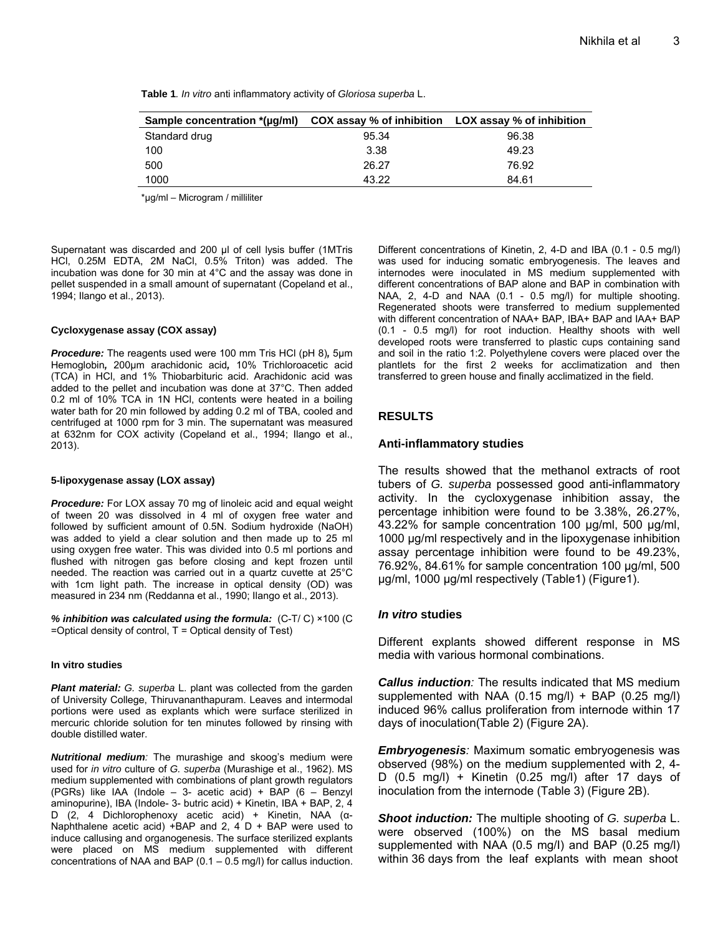**Table 1***. In vitro* anti inflammatory activity of *Gloriosa superba* L.

| Sample concentration $*(\mu g/ml)$ COX assay % of inhibition LOX assay % of inhibition |       |       |
|----------------------------------------------------------------------------------------|-------|-------|
| Standard drug                                                                          | 95.34 | 96.38 |
| 100                                                                                    | 3.38  | 49.23 |
| 500                                                                                    | 26.27 | 76.92 |
| 1000                                                                                   | 43.22 | 84.61 |

\*µg/ml – Microgram / milliliter

Supernatant was discarded and 200 ul of cell lysis buffer (1MTris HCl, 0.25M EDTA, 2M NaCl, 0.5% Triton) was added. The incubation was done for 30 min at 4°C and the assay was done in pellet suspended in a small amount of supernatant (Copeland et al., 1994; Ilango et al., 2013).

#### **Cycloxygenase assay (COX assay)**

*Procedure:* The reagents used were 100 mm Tris HCl (pH 8)*,* 5μm Hemoglobin*,* 200µm arachidonic acid*,* 10% Trichloroacetic acid (TCA) in HCl, and 1% Thiobarbituric acid. Arachidonic acid was added to the pellet and incubation was done at 37°C. Then added 0.2 ml of 10% TCA in 1N HCl, contents were heated in a boiling water bath for 20 min followed by adding 0.2 ml of TBA, cooled and centrifuged at 1000 rpm for 3 min. The supernatant was measured at 632nm for COX activity (Copeland et al., 1994; Ilango et al., 2013).

#### **5-lipoxygenase assay (LOX assay)**

*Procedure:* For LOX assay 70 mg of linoleic acid and equal weight of tween 20 was dissolved in 4 ml of oxygen free water and followed by sufficient amount of 0.5N. Sodium hydroxide (NaOH) was added to yield a clear solution and then made up to 25 ml using oxygen free water. This was divided into 0.5 ml portions and flushed with nitrogen gas before closing and kept frozen until needed. The reaction was carried out in a quartz cuvette at 25°C with 1cm light path. The increase in optical density (OD) was measured in 234 nm (Reddanna et al., 1990; Ilango et al., 2013).

*% inhibition was calculated using the formula:*(C-T/ C) ×100 (C  $=$  Optical density of control,  $T =$  Optical density of Test)

#### **In vitro studies**

*Plant material: G. superba* L. plant was collected from the garden of University College, Thiruvananthapuram. Leaves and intermodal portions were used as explants which were surface sterilized in mercuric chloride solution for ten minutes followed by rinsing with double distilled water.

*Nutritional medium:* The murashige and skoog's medium were used for *in vitro* culture of *G. superba* (Murashige et al., 1962). MS medium supplemented with combinations of plant growth regulators (PGRs) like IAA (Indole – 3- acetic acid) + BAP (6 – Benzyl aminopurine), IBA (Indole- 3- butric acid) + Kinetin, IBA + BAP, 2, 4 D (2, 4 Dichlorophenoxy acetic acid) + Kinetin, NAA (α-Naphthalene acetic acid) +BAP and 2, 4  $D$  + BAP were used to induce callusing and organogenesis. The surface sterilized explants were placed on MS medium supplemented with different concentrations of NAA and BAP (0.1 – 0.5 mg/l) for callus induction.

Different concentrations of Kinetin, 2, 4-D and IBA (0.1 - 0.5 mg/l) was used for inducing somatic embryogenesis. The leaves and internodes were inoculated in MS medium supplemented with different concentrations of BAP alone and BAP in combination with NAA, 2, 4-D and NAA (0.1 - 0.5 mg/l) for multiple shooting. Regenerated shoots were transferred to medium supplemented with different concentration of NAA+ BAP, IBA+ BAP and IAA+ BAP (0.1 - 0.5 mg/l) for root induction. Healthy shoots with well developed roots were transferred to plastic cups containing sand and soil in the ratio 1:2. Polyethylene covers were placed over the plantlets for the first 2 weeks for acclimatization and then transferred to green house and finally acclimatized in the field.

## **RESULTS**

#### **Anti-inflammatory studies**

The results showed that the methanol extracts of root tubers of *G. superba* possessed good anti-inflammatory activity. In the cycloxygenase inhibition assay, the percentage inhibition were found to be 3.38%, 26.27%, 43.22% for sample concentration 100 µg/ml, 500 µg/ml, 1000 µg/ml respectively and in the lipoxygenase inhibition assay percentage inhibition were found to be 49.23%, 76.92%, 84.61% for sample concentration 100 µg/ml, 500 µg/ml, 1000 µg/ml respectively (Table1) (Figure1).

#### *In vitro* **studies**

Different explants showed different response in MS media with various hormonal combinations.

*Callus induction:* The results indicated that MS medium supplemented with NAA (0.15 mg/l) + BAP (0.25 mg/l) induced 96% callus proliferation from internode within 17 days of inoculation(Table 2) (Figure 2A).

*Embryogenesis:* Maximum somatic embryogenesis was observed (98%) on the medium supplemented with 2, 4- D (0.5 mg/l) + Kinetin (0.25 mg/l) after 17 days of inoculation from the internode (Table 3) (Figure 2B).

*Shoot induction:* The multiple shooting of *G. superba* L. were observed (100%) on the MS basal medium supplemented with NAA (0.5 mg/I) and BAP (0.25 mg/l) within 36 days from the leaf explants with mean shoot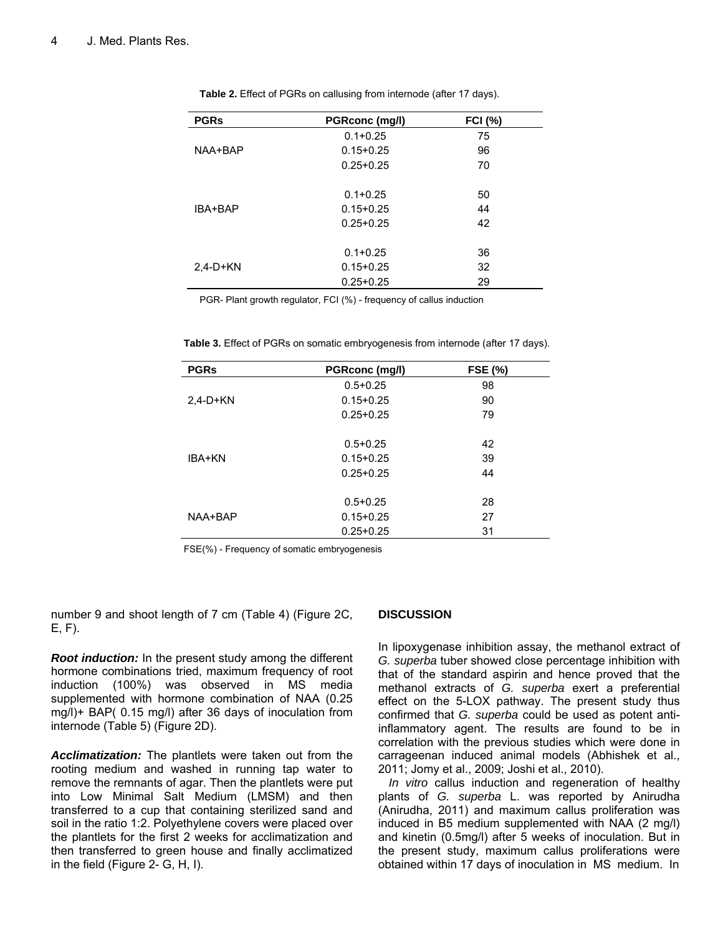| <b>PGRs</b> | PGRconc (mg/l) | <b>FCI (%)</b> |
|-------------|----------------|----------------|
|             | $0.1 + 0.25$   | 75             |
| NAA+BAP     | $0.15 + 0.25$  | 96             |
|             | $0.25 + 0.25$  | 70             |
|             |                |                |
|             | $0.1 + 0.25$   | 50             |
| IBA+BAP     | $0.15 + 0.25$  | 44             |
|             | $0.25 + 0.25$  | 42             |
|             |                |                |
|             | $0.1 + 0.25$   | 36             |
| $2.4-D+KN$  | $0.15 + 0.25$  | 32             |
|             | $0.25 + 0.25$  | 29             |

**Table 2.** Effect of PGRs on callusing from internode (after 17 days).

PGR- Plant growth regulator, FCI (%) - frequency of callus induction

**Table 3.** Effect of PGRs on somatic embryogenesis from internode (after 17 days).

| <b>PGRs</b> | PGRconc (mg/l) | <b>FSE (%)</b> |  |
|-------------|----------------|----------------|--|
|             | $0.5 + 0.25$   | 98             |  |
| $2.4-D+KN$  | $0.15 + 0.25$  | 90             |  |
|             | $0.25 + 0.25$  | 79             |  |
|             |                |                |  |
|             | $0.5 + 0.25$   | 42             |  |
| IBA+KN      | $0.15 + 0.25$  | 39             |  |
|             | $0.25 + 0.25$  | 44             |  |
|             |                |                |  |
|             | $0.5 + 0.25$   | 28             |  |
| NAA+BAP     | $0.15 + 0.25$  | 27             |  |
|             | $0.25 + 0.25$  | 31             |  |
|             |                |                |  |

FSE(%) - Frequency of somatic embryogenesis

number 9 and shoot length of 7 cm (Table 4) (Figure 2C, E, F).

*Root induction:* In the present study among the different hormone combinations tried, maximum frequency of root induction (100%) was observed in MS media supplemented with hormone combination of NAA (0.25 mg/l)+ BAP( 0.15 mg/l) after 36 days of inoculation from internode (Table 5) (Figure 2D).

*Acclimatization:* The plantlets were taken out from the rooting medium and washed in running tap water to remove the remnants of agar. Then the plantlets were put into Low Minimal Salt Medium (LMSM) and then transferred to a cup that containing sterilized sand and soil in the ratio 1:2. Polyethylene covers were placed over the plantlets for the first 2 weeks for acclimatization and then transferred to green house and finally acclimatized in the field (Figure 2- G, H, I).

## **DISCUSSION**

In lipoxygenase inhibition assay, the methanol extract of *G. superba* tuber showed close percentage inhibition with that of the standard aspirin and hence proved that the methanol extracts of *G. superba* exert a preferential effect on the 5-LOX pathway. The present study thus confirmed that *G. superba* could be used as potent antiinflammatory agent. The results are found to be in correlation with the previous studies which were done in carrageenan induced animal models (Abhishek et al., 2011; Jomy et al., 2009; Joshi et al., 2010).

*In vitro* callus induction and regeneration of healthy plants of *G. superba* L. was reported by Anirudha (Anirudha, 2011) and maximum callus proliferation was induced in B5 medium supplemented with NAA (2 mg/l) and kinetin (0.5mg/l) after 5 weeks of inoculation. But in the present study, maximum callus proliferations were obtained within 17 days of inoculation in MS medium. In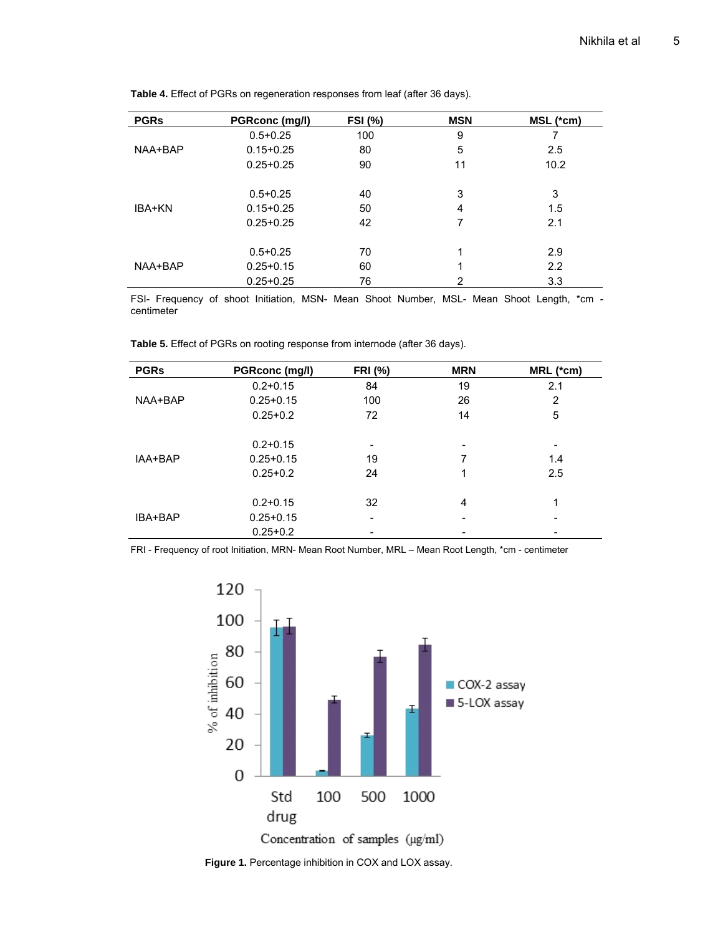| <b>PGRs</b> | PGRconc (mg/l) | <b>FSI (%)</b> | <b>MSN</b> | $MSL$ ( $*cm$ ) |
|-------------|----------------|----------------|------------|-----------------|
| NAA+BAP     | $0.5 + 0.25$   | 100            | 9          |                 |
|             | $0.15 + 0.25$  | 80             | 5          | 2.5             |
|             | $0.25 + 0.25$  | 90             | 11         | 10.2            |
|             | $0.5 + 0.25$   | 40             | 3          | 3               |
| IBA+KN      | $0.15 + 0.25$  | 50             | 4          | 1.5             |
|             | $0.25 + 0.25$  | 42             | 7          | 2.1             |
|             | $0.5 + 0.25$   | 70             | 1          | 2.9             |
| NAA+BAP     | $0.25 + 0.15$  | 60             | 1          | $2.2^{\circ}$   |
|             | $0.25 + 0.25$  | 76             | 2          | 3.3             |

**Table 4.** Effect of PGRs on regeneration responses from leaf (after 36 days).

FSI- Frequency of shoot Initiation, MSN- Mean Shoot Number, MSL- Mean Shoot Length, \*cm centimeter

**Table 5.** Effect of PGRs on rooting response from internode (after 36 days).

| <b>PGRs</b> | PGRconc (mg/l) | <b>FRI (%)</b>           | <b>MRN</b> | $MRL$ ( $*cm$ ) |
|-------------|----------------|--------------------------|------------|-----------------|
|             | $0.2 + 0.15$   | 84                       | 19         | 2.1             |
| NAA+BAP     | $0.25 + 0.15$  | 100                      | 26         | 2               |
|             | $0.25 + 0.2$   | 72                       | 14         | 5               |
|             | $0.2 + 0.15$   | $\overline{\phantom{a}}$ |            | -               |
| IAA+BAP     | $0.25 + 0.15$  | 19                       | 7          | 1.4             |
|             | $0.25 + 0.2$   | 24                       | 1          | 2.5             |
|             | $0.2 + 0.15$   | 32                       | 4          | 1               |
| IBA+BAP     | $0.25 + 0.15$  | $\overline{\phantom{a}}$ |            |                 |
|             | $0.25 + 0.2$   |                          |            |                 |

FRI - Frequency of root Initiation, MRN- Mean Root Number, MRL – Mean Root Length, \*cm - centimeter



Concentration of samples (µg/ml)

Figure 1. Percentage inhibition in COX and LOX assay.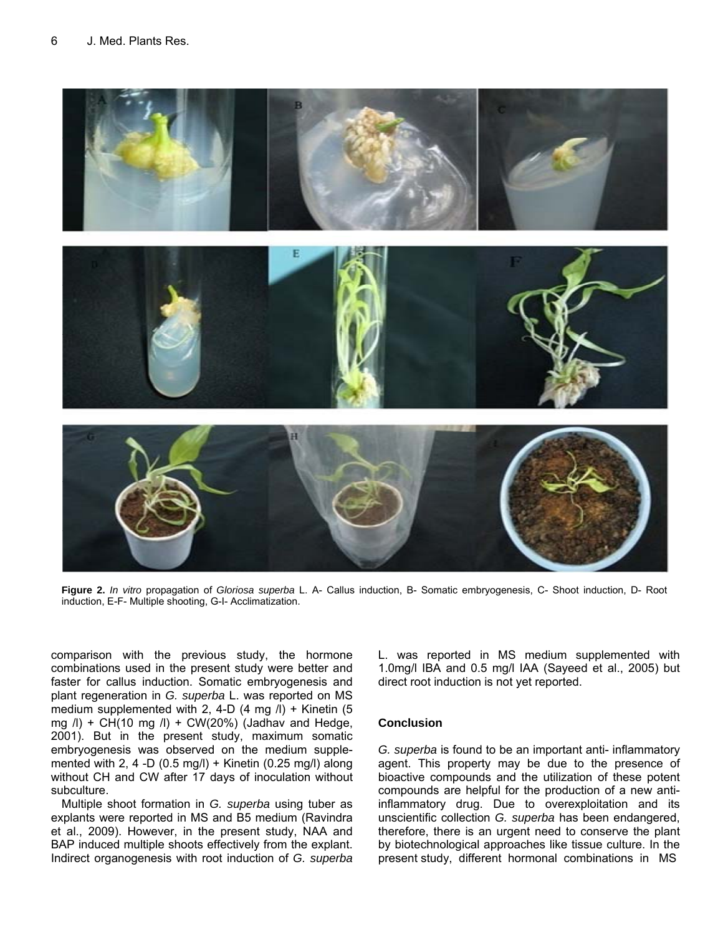

**Figure 2.** *In vitro* propagation of *Gloriosa superba* L. A- Callus induction, B- Somatic embryogenesis, C- Shoot induction, D- Root induction, E-F- Multiple shooting, G-I- Acclimatization.

comparison with the previous study, the hormone combinations used in the present study were better and faster for callus induction. Somatic embryogenesis and plant regeneration in *G. superba* L. was reported on MS medium supplemented with 2, 4-D  $(4 \text{ mg }$ /l) + Kinetin  $(5 \text{ m})$ mg  $\ell$ ) + CH(10 mg  $\ell$ ) + CW(20%) (Jadhav and Hedge, 2001). But in the present study, maximum somatic embryogenesis was observed on the medium supplemented with 2, 4 -D  $(0.5 \text{ mg/l})$  + Kinetin  $(0.25 \text{ mg/l})$  along without CH and CW after 17 days of inoculation without subculture.

Multiple shoot formation in *G. superba* using tuber as explants were reported in MS and B5 medium (Ravindra et al., 2009). However, in the present study, NAA and BAP induced multiple shoots effectively from the explant. Indirect organogenesis with root induction of *G. superba*  L. was reported in MS medium supplemented with 1.0mg/l IBA and 0.5 mg/l IAA (Sayeed et al., 2005) but direct root induction is not yet reported.

## **Conclusion**

*G. superba* is found to be an important anti- inflammatory agent. This property may be due to the presence of bioactive compounds and the utilization of these potent compounds are helpful for the production of a new antiinflammatory drug. Due to overexploitation and its unscientific collection *G. superba* has been endangered, therefore, there is an urgent need to conserve the plant by biotechnological approaches like tissue culture. In the present study, different hormonal combinations in MS